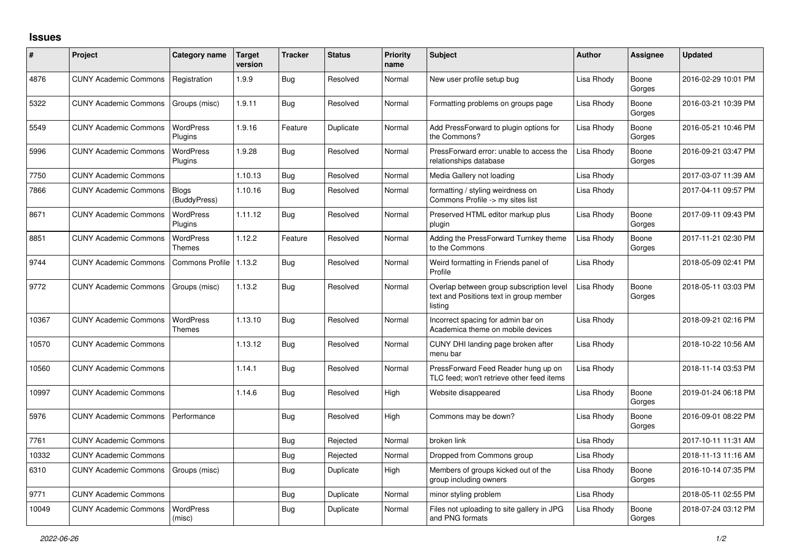## **Issues**

| ∦     | Project                      | Category name                     | Target<br>version | <b>Tracker</b> | <b>Status</b> | <b>Priority</b><br>name | <b>Subject</b>                                                                                 | <b>Author</b> | Assignee        | <b>Updated</b>      |
|-------|------------------------------|-----------------------------------|-------------------|----------------|---------------|-------------------------|------------------------------------------------------------------------------------------------|---------------|-----------------|---------------------|
| 4876  | <b>CUNY Academic Commons</b> | Registration                      | 1.9.9             | Bug            | Resolved      | Normal                  | New user profile setup bug                                                                     | Lisa Rhody    | Boone<br>Gorges | 2016-02-29 10:01 PM |
| 5322  | <b>CUNY Academic Commons</b> | Groups (misc)                     | 1.9.11            | <b>Bug</b>     | Resolved      | Normal                  | Formatting problems on groups page                                                             | Lisa Rhody    | Boone<br>Gorges | 2016-03-21 10:39 PM |
| 5549  | <b>CUNY Academic Commons</b> | <b>WordPress</b><br>Plugins       | 1.9.16            | Feature        | Duplicate     | Normal                  | Add PressForward to plugin options for<br>the Commons?                                         | Lisa Rhody    | Boone<br>Gorges | 2016-05-21 10:46 PM |
| 5996  | <b>CUNY Academic Commons</b> | <b>WordPress</b><br>Plugins       | 1.9.28            | <b>Bug</b>     | Resolved      | Normal                  | PressForward error: unable to access the<br>relationships database                             | Lisa Rhody    | Boone<br>Gorges | 2016-09-21 03:47 PM |
| 7750  | <b>CUNY Academic Commons</b> |                                   | 1.10.13           | <b>Bug</b>     | Resolved      | Normal                  | Media Gallery not loading                                                                      | Lisa Rhody    |                 | 2017-03-07 11:39 AM |
| 7866  | <b>CUNY Academic Commons</b> | <b>Blogs</b><br>(BuddyPress)      | 1.10.16           | Bug            | Resolved      | Normal                  | formatting / styling weirdness on<br>Commons Profile -> my sites list                          | Lisa Rhody    |                 | 2017-04-11 09:57 PM |
| 8671  | <b>CUNY Academic Commons</b> | <b>WordPress</b><br>Plugins       | 1.11.12           | Bug            | Resolved      | Normal                  | Preserved HTML editor markup plus<br>plugin                                                    | Lisa Rhody    | Boone<br>Gorges | 2017-09-11 09:43 PM |
| 8851  | <b>CUNY Academic Commons</b> | <b>WordPress</b><br><b>Themes</b> | 1.12.2            | Feature        | Resolved      | Normal                  | Adding the PressForward Turnkey theme<br>to the Commons                                        | Lisa Rhody    | Boone<br>Gorges | 2017-11-21 02:30 PM |
| 9744  | <b>CUNY Academic Commons</b> | <b>Commons Profile</b>            | 1.13.2            | Bug            | Resolved      | Normal                  | Weird formatting in Friends panel of<br>Profile                                                | Lisa Rhody    |                 | 2018-05-09 02:41 PM |
| 9772  | <b>CUNY Academic Commons</b> | Groups (misc)                     | 1.13.2            | Bug            | Resolved      | Normal                  | Overlap between group subscription level<br>text and Positions text in group member<br>listing | Lisa Rhody    | Boone<br>Gorges | 2018-05-11 03:03 PM |
| 10367 | <b>CUNY Academic Commons</b> | <b>WordPress</b><br><b>Themes</b> | 1.13.10           | <b>Bug</b>     | Resolved      | Normal                  | Incorrect spacing for admin bar on<br>Academica theme on mobile devices                        | Lisa Rhody    |                 | 2018-09-21 02:16 PM |
| 10570 | <b>CUNY Academic Commons</b> |                                   | 1.13.12           | Bug            | Resolved      | Normal                  | CUNY DHI landing page broken after<br>menu bar                                                 | Lisa Rhody    |                 | 2018-10-22 10:56 AM |
| 10560 | <b>CUNY Academic Commons</b> |                                   | 1.14.1            | Bug            | Resolved      | Normal                  | PressForward Feed Reader hung up on<br>TLC feed; won't retrieve other feed items               | Lisa Rhody    |                 | 2018-11-14 03:53 PM |
| 10997 | <b>CUNY Academic Commons</b> |                                   | 1.14.6            | <b>Bug</b>     | Resolved      | High                    | Website disappeared                                                                            | Lisa Rhody    | Boone<br>Gorges | 2019-01-24 06:18 PM |
| 5976  | <b>CUNY Academic Commons</b> | Performance                       |                   | Bug            | Resolved      | High                    | Commons may be down?                                                                           | Lisa Rhody    | Boone<br>Gorges | 2016-09-01 08:22 PM |
| 7761  | <b>CUNY Academic Commons</b> |                                   |                   | Bug            | Rejected      | Normal                  | broken link                                                                                    | Lisa Rhody    |                 | 2017-10-11 11:31 AM |
| 10332 | <b>CUNY Academic Commons</b> |                                   |                   | Bug            | Rejected      | Normal                  | Dropped from Commons group                                                                     | Lisa Rhody    |                 | 2018-11-13 11:16 AM |
| 6310  | <b>CUNY Academic Commons</b> | Groups (misc)                     |                   | Bug            | Duplicate     | High                    | Members of groups kicked out of the<br>group including owners                                  | Lisa Rhody    | Boone<br>Gorges | 2016-10-14 07:35 PM |
| 9771  | <b>CUNY Academic Commons</b> |                                   |                   | Bug            | Duplicate     | Normal                  | minor styling problem                                                                          | Lisa Rhody    |                 | 2018-05-11 02:55 PM |
| 10049 | <b>CUNY Academic Commons</b> | <b>WordPress</b><br>(misc)        |                   | Bug            | Duplicate     | Normal                  | Files not uploading to site gallery in JPG<br>and PNG formats                                  | Lisa Rhody    | Boone<br>Gorges | 2018-07-24 03:12 PM |